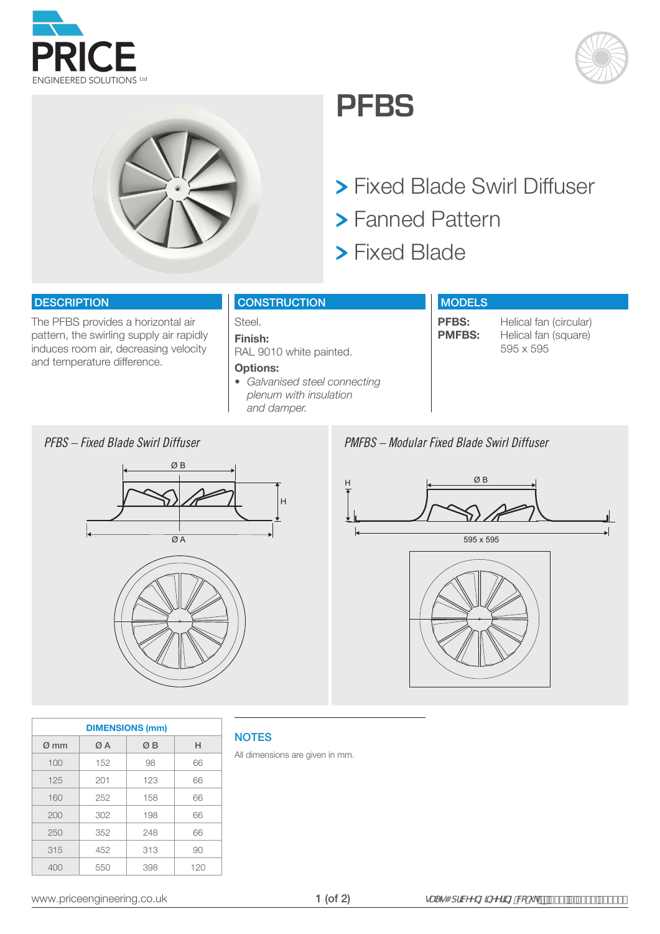





## **PFBS**

- Fixed Blade Swirl Diffuser
- Fanned Pattern
- **> Fixed Blade**

#### **DESCRIPTION**

The PFBS provides a horizontal air pattern, the swirling supply air rapidly induces room air, decreasing velocity and temperature difference.

#### **CONSTRUCTION**

Steel. **Finish:**  RAL 9010 white painted.

#### **Options:**

*• Galvanised steel connecting plenum with insulation and damper.*

#### **MODELS**

**PFBS:** Helical fan (circular)<br>**PMFBS:** Helical fan (square) **Helical fan (square)** 595 x 595

#### *PFBS – Fixed Blade Swirl Diffuser PMFBS – Modular Fixed Blade Swirl Diffuser*



| . <b>.</b> | <u>nounun mou biuuv viini binuvui</u> |  |  |
|------------|---------------------------------------|--|--|
|            |                                       |  |  |
|            |                                       |  |  |
|            |                                       |  |  |



| <b>DIMENSIONS (mm)</b> |     |     |     |  |  |  |  |  |  |  |  |
|------------------------|-----|-----|-----|--|--|--|--|--|--|--|--|
| $\varnothing$ mm       | ØΑ  | ØΒ  | н   |  |  |  |  |  |  |  |  |
| 100                    | 152 | 98  | 66  |  |  |  |  |  |  |  |  |
| 125                    | 201 | 123 | 66  |  |  |  |  |  |  |  |  |
| 160                    | 252 | 158 | 66  |  |  |  |  |  |  |  |  |
| 200                    | 302 | 198 | 66  |  |  |  |  |  |  |  |  |
| 250                    | 352 | 248 | 66  |  |  |  |  |  |  |  |  |
| 315                    | 452 | 313 | 90  |  |  |  |  |  |  |  |  |
| 400                    | 550 | 398 | 120 |  |  |  |  |  |  |  |  |

### **NOTES**

All dimensions are given in mm.